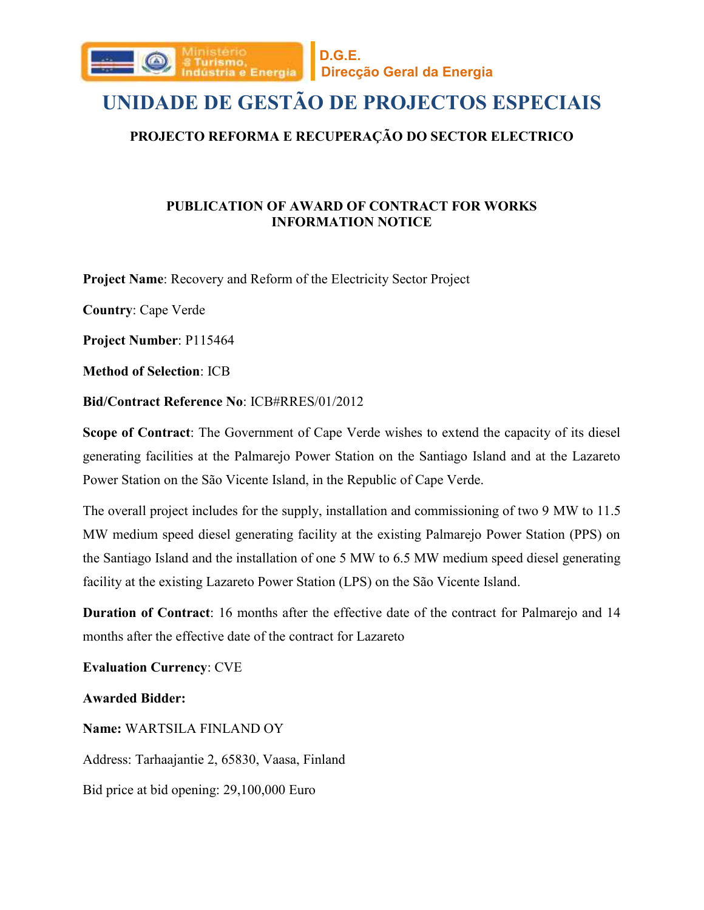

## **UNIDADE DE GESTÃO DE PROJECTOS ESPECIAIS**

### **PROJECTO REFORMA E RECUPERAÇÃO DO SECTOR ELECTRICO**

### **PUBLICATION OF AWARD OF CONTRACT FOR WORKS INFORMATION NOTICE**

**Project Name**: Recovery and Reform of the Electricity Sector Project

**Country**: Cape Verde

**Project Number**: P115464

**Method of Selection**: ICB

**Bid/Contract Reference No**: ICB#RRES/01/2012

**Scope of Contract**: The Government of Cape Verde wishes to extend the capacity of its diesel generating facilities at the Palmarejo Power Station on the Santiago Island and at the Lazareto Power Station on the São Vicente Island, in the Republic of Cape Verde.

The overall project includes for the supply, installation and commissioning of two 9 MW to 11.5 MW medium speed diesel generating facility at the existing Palmarejo Power Station (PPS) on the Santiago Island and the installation of one 5 MW to 6.5 MW medium speed diesel generating facility at the existing Lazareto Power Station (LPS) on the São Vicente Island.

**Duration of Contract**: 16 months after the effective date of the contract for Palmarejo and 14 months after the effective date of the contract for Lazareto

**Evaluation Currency**: CVE

**Awarded Bidder:**

**Name:** WARTSILA FINLAND OY Address: Tarhaajantie 2, 65830, Vaasa, Finland Bid price at bid opening: 29,100,000 Euro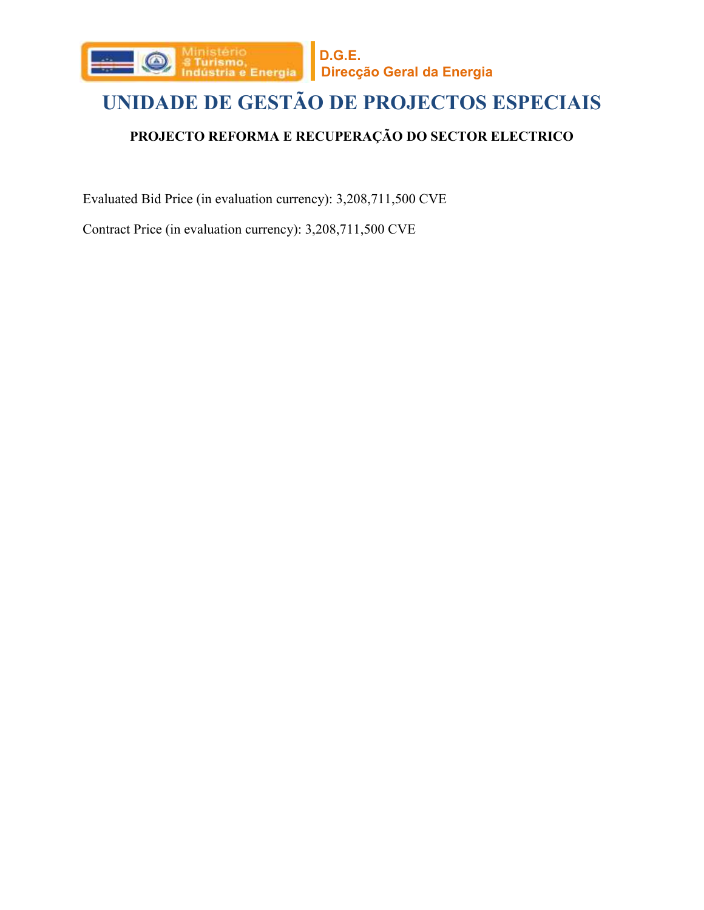

# **UNIDADE DE GESTÃO DE PROJECTOS ESPECIAIS**

## **PROJECTO REFORMA E RECUPERAÇÃO DO SECTOR ELECTRICO**

Evaluated Bid Price (in evaluation currency): 3,208,711,500 CVE

Contract Price (in evaluation currency): 3,208,711,500 CVE